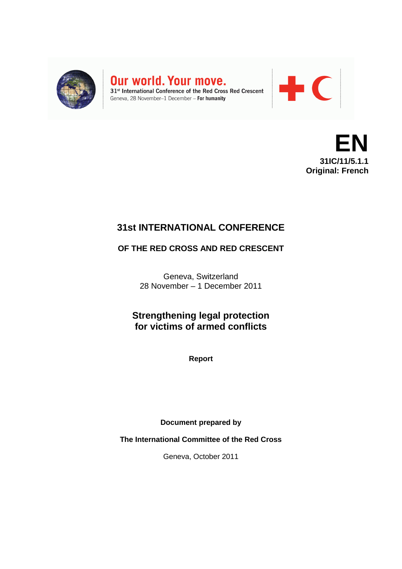

Our world. Your move. 31<sup>st</sup> International Conference of the Red Cross Red Crescent

Geneva, 28 November-1 December - For humanity



**EN 31IC/11/5.1.1 Original: French**

# **31st INTERNATIONAL CONFERENCE**

## **OF THE RED CROSS AND RED CRESCENT**

Geneva, Switzerland 28 November – 1 December 2011

**Strengthening legal protection for victims of armed conflicts**

**Report**

**Document prepared by** 

**The International Committee of the Red Cross**

Geneva, October 2011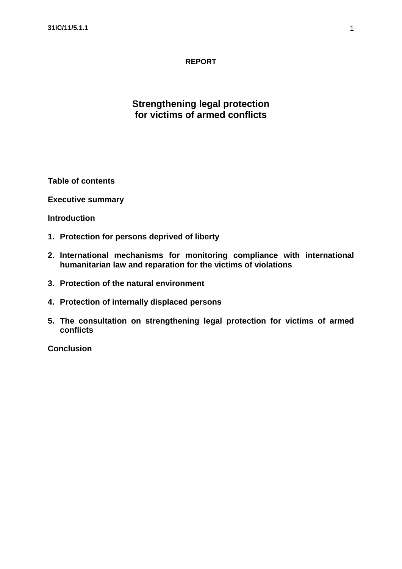## **REPORT**

## **Strengthening legal protection for victims of armed conflicts**

**Table of contents**

**Executive summary**

**Introduction**

- **1. Protection for persons deprived of liberty**
- **2. International mechanisms for monitoring compliance with international humanitarian law and reparation for the victims of violations**
- **3. Protection of the natural environment**
- **4. Protection of internally displaced persons**
- **5. The consultation on strengthening legal protection for victims of armed conflicts**

**Conclusion**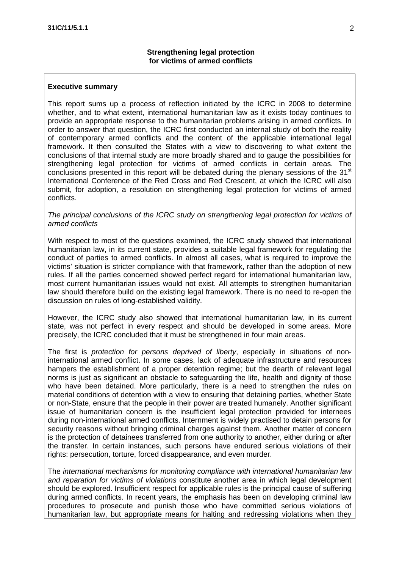#### **Executive summary**

This report sums up a process of reflection initiated by the ICRC in 2008 to determine whether, and to what extent, international humanitarian law as it exists today continues to provide an appropriate response to the humanitarian problems arising in armed conflicts. In order to answer that question, the ICRC first conducted an internal study of both the reality of contemporary armed conflicts and the content of the applicable international legal framework. It then consulted the States with a view to discovering to what extent the conclusions of that internal study are more broadly shared and to gauge the possibilities for strengthening legal protection for victims of armed conflicts in certain areas. The conclusions presented in this report will be debated during the plenary sessions of the  $31<sup>st</sup>$ International Conference of the Red Cross and Red Crescent, at which the ICRC will also submit, for adoption, a resolution on strengthening legal protection for victims of armed conflicts.

#### *The principal conclusions of the ICRC study on strengthening legal protection for victims of armed conflicts*

With respect to most of the questions examined, the ICRC study showed that international humanitarian law, in its current state, provides a suitable legal framework for regulating the conduct of parties to armed conflicts. In almost all cases, what is required to improve the victims' situation is stricter compliance with that framework, rather than the adoption of new rules. If all the parties concerned showed perfect regard for international humanitarian law, most current humanitarian issues would not exist. All attempts to strengthen humanitarian law should therefore build on the existing legal framework. There is no need to re-open the discussion on rules of long-established validity.

However, the ICRC study also showed that international humanitarian law, in its current state, was not perfect in every respect and should be developed in some areas. More precisely, the ICRC concluded that it must be strengthened in four main areas.

The first is *protection for persons deprived of liberty*, especially in situations of noninternational armed conflict. In some cases, lack of adequate infrastructure and resources hampers the establishment of a proper detention regime; but the dearth of relevant legal norms is just as significant an obstacle to safeguarding the life, health and dignity of those who have been detained. More particularly, there is a need to strengthen the rules on material conditions of detention with a view to ensuring that detaining parties, whether State or non-State, ensure that the people in their power are treated humanely. Another significant issue of humanitarian concern is the insufficient legal protection provided for internees during non-international armed conflicts. Internment is widely practised to detain persons for security reasons without bringing criminal charges against them. Another matter of concern is the protection of detainees transferred from one authority to another, either during or after the transfer. In certain instances, such persons have endured serious violations of their rights: persecution, torture, forced disappearance, and even murder.

The *international mechanisms for monitoring compliance with international humanitarian law and reparation for victims of violations* constitute another area in which legal development should be explored. Insufficient respect for applicable rules is the principal cause of suffering during armed conflicts. In recent years, the emphasis has been on developing criminal law procedures to prosecute and punish those who have committed serious violations of humanitarian law, but appropriate means for halting and redressing violations when they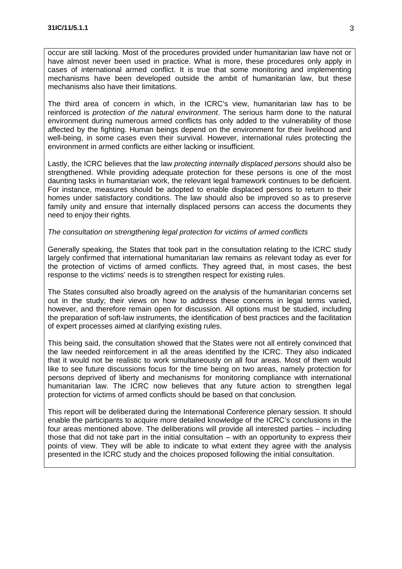occur are still lacking. Most of the procedures provided under humanitarian law have not or have almost never been used in practice. What is more, these procedures only apply in cases of international armed conflict. It is true that some monitoring and implementing mechanisms have been developed outside the ambit of humanitarian law, but these mechanisms also have their limitations.

The third area of concern in which, in the ICRC's view, humanitarian law has to be reinforced is *protection of the natural environment*. The serious harm done to the natural environment during numerous armed conflicts has only added to the vulnerability of those affected by the fighting. Human beings depend on the environment for their livelihood and well-being, in some cases even their survival. However, international rules protecting the environment in armed conflicts are either lacking or insufficient.

Lastly, the ICRC believes that the law *protecting internally displaced persons* should also be strengthened. While providing adequate protection for these persons is one of the most daunting tasks in humanitarian work, the relevant legal framework continues to be deficient. For instance, measures should be adopted to enable displaced persons to return to their homes under satisfactory conditions. The law should also be improved so as to preserve family unity and ensure that internally displaced persons can access the documents they need to enjoy their rights.

#### *The consultation on strengthening legal protection for victims of armed conflicts*

Generally speaking, the States that took part in the consultation relating to the ICRC study largely confirmed that international humanitarian law remains as relevant today as ever for the protection of victims of armed conflicts. They agreed that, in most cases, the best response to the victims' needs is to strengthen respect for existing rules.

The States consulted also broadly agreed on the analysis of the humanitarian concerns set out in the study; their views on how to address these concerns in legal terms varied, however, and therefore remain open for discussion. All options must be studied, including the preparation of soft-law instruments, the identification of best practices and the facilitation of expert processes aimed at clarifying existing rules.

This being said, the consultation showed that the States were not all entirely convinced that the law needed reinforcement in all the areas identified by the ICRC. They also indicated that it would not be realistic to work simultaneously on all four areas. Most of them would like to see future discussions focus for the time being on two areas, namely protection for persons deprived of liberty and mechanisms for monitoring compliance with international humanitarian law. The ICRC now believes that any future action to strengthen legal protection for victims of armed conflicts should be based on that conclusion.

This report will be deliberated during the International Conference plenary session. It should enable the participants to acquire more detailed knowledge of the ICRC's conclusions in the four areas mentioned above. The deliberations will provide all interested parties – including those that did not take part in the initial consultation – with an opportunity to express their points of view. They will be able to indicate to what extent they agree with the analysis presented in the ICRC study and the choices proposed following the initial consultation.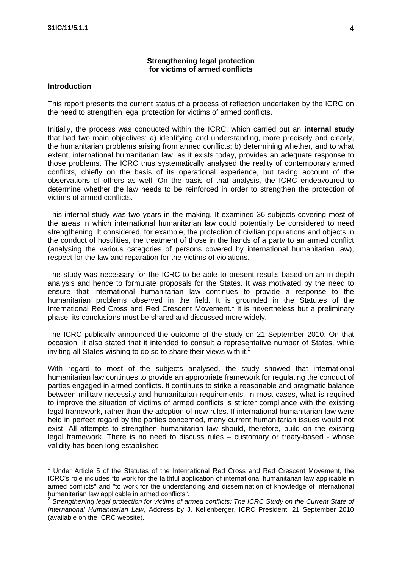#### **Strengthening legal protection for victims of armed conflicts**

#### **Introduction**

This report presents the current status of a process of reflection undertaken by the ICRC on the need to strengthen legal protection for victims of armed conflicts.

Initially, the process was conducted within the ICRC, which carried out an **internal study** that had two main objectives: a) identifying and understanding, more precisely and clearly, the humanitarian problems arising from armed conflicts; b) determining whether, and to what extent, international humanitarian law, as it exists today, provides an adequate response to those problems. The ICRC thus systematically analysed the reality of contemporary armed conflicts, chiefly on the basis of its operational experience, but taking account of the observations of others as well. On the basis of that analysis, the ICRC endeavoured to determine whether the law needs to be reinforced in order to strengthen the protection of victims of armed conflicts.

This internal study was two years in the making. It examined 36 subjects covering most of the areas in which international humanitarian law could potentially be considered to need strengthening. It considered, for example, the protection of civilian populations and objects in the conduct of hostilities, the treatment of those in the hands of a party to an armed conflict (analysing the various categories of persons covered by international humanitarian law), respect for the law and reparation for the victims of violations.

The study was necessary for the ICRC to be able to present results based on an in-depth analysis and hence to formulate proposals for the States. It was motivated by the need to ensure that international humanitarian law continues to provide a response to the humanitarian problems observed in the field. It is grounded in the Statutes of the International Red Cross and Red Crescent Movement.<sup>1</sup> It is nevertheless but a preliminary phase; its conclusions must be shared and discussed more widely.

The ICRC publically announced the outcome of the study on 21 September 2010. On that occasion, it also stated that it intended to consult a representative number of States, while inviting all States wishing to do so to share their views with it. $^2$ 

With regard to most of the subjects analysed, the study showed that international humanitarian law continues to provide an appropriate framework for regulating the conduct of parties engaged in armed conflicts. It continues to strike a reasonable and pragmatic balance between military necessity and humanitarian requirements. In most cases, what is required to improve the situation of victims of armed conflicts is stricter compliance with the existing legal framework, rather than the adoption of new rules. If international humanitarian law were held in perfect regard by the parties concerned, many current humanitarian issues would not exist. All attempts to strengthen humanitarian law should, therefore, build on the existing legal framework. There is no need to discuss rules – customary or treaty-based - whose validity has been long established.

 $<sup>1</sup>$  Under Article 5 of the Statutes of the International Red Cross and Red Crescent Movement, the</sup> ICRC's role includes "to work for the faithful application of international humanitarian law applicable in armed conflicts" and "to work for the understanding and dissemination of knowledge of international humanitarian law applicable in armed conflicts".

<sup>2</sup> *Strengthening legal protection for victims of armed conflicts: The ICRC Study on the Current State of International Humanitarian Law*, Address by J. Kellenberger, ICRC President, 21 September 2010 (available on the ICRC website).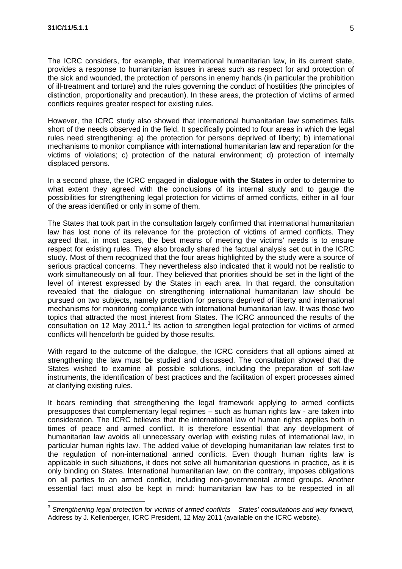The ICRC considers, for example, that international humanitarian law, in its current state, provides a response to humanitarian issues in areas such as respect for and protection of the sick and wounded, the protection of persons in enemy hands (in particular the prohibition of ill-treatment and torture) and the rules governing the conduct of hostilities (the principles of distinction, proportionality and precaution). In these areas, the protection of victims of armed conflicts requires greater respect for existing rules.

However, the ICRC study also showed that international humanitarian law sometimes falls short of the needs observed in the field. It specifically pointed to four areas in which the legal rules need strengthening: a) the protection for persons deprived of liberty; b) international mechanisms to monitor compliance with international humanitarian law and reparation for the victims of violations; c) protection of the natural environment; d) protection of internally displaced persons.

In a second phase, the ICRC engaged in **dialogue with the States** in order to determine to what extent they agreed with the conclusions of its internal study and to gauge the possibilities for strengthening legal protection for victims of armed conflicts, either in all four of the areas identified or only in some of them.

The States that took part in the consultation largely confirmed that international humanitarian law has lost none of its relevance for the protection of victims of armed conflicts. They agreed that, in most cases, the best means of meeting the victims' needs is to ensure respect for existing rules. They also broadly shared the factual analysis set out in the ICRC study. Most of them recognized that the four areas highlighted by the study were a source of serious practical concerns. They nevertheless also indicated that it would not be realistic to work simultaneously on all four. They believed that priorities should be set in the light of the level of interest expressed by the States in each area. In that regard, the consultation revealed that the dialogue on strengthening international humanitarian law should be pursued on two subjects, namely protection for persons deprived of liberty and international mechanisms for monitoring compliance with international humanitarian law. It was those two topics that attracted the most interest from States. The ICRC announced the results of the consultation on 12 May 2011. $3$  Its action to strengthen legal protection for victims of armed conflicts will henceforth be guided by those results.

With regard to the outcome of the dialogue, the ICRC considers that all options aimed at strengthening the law must be studied and discussed. The consultation showed that the States wished to examine all possible solutions, including the preparation of soft-law instruments, the identification of best practices and the facilitation of expert processes aimed at clarifying existing rules.

It bears reminding that strengthening the legal framework applying to armed conflicts presupposes that complementary legal regimes – such as human rights law - are taken into consideration. The ICRC believes that the international law of human rights applies both in times of peace and armed conflict. It is therefore essential that any development of humanitarian law avoids all unnecessary overlap with existing rules of international law, in particular human rights law. The added value of developing humanitarian law relates first to the regulation of non-international armed conflicts. Even though human rights law is applicable in such situations, it does not solve all humanitarian questions in practice, as it is only binding on States. International humanitarian law, on the contrary, imposes obligations on all parties to an armed conflict, including non-governmental armed groups. Another essential fact must also be kept in mind: humanitarian law has to be respected in all

<sup>3</sup> *Strengthening legal protection for victims of armed conflicts – States' consultations and way forward,*  Address by J. Kellenberger, ICRC President, 12 May 2011 (available on the ICRC website).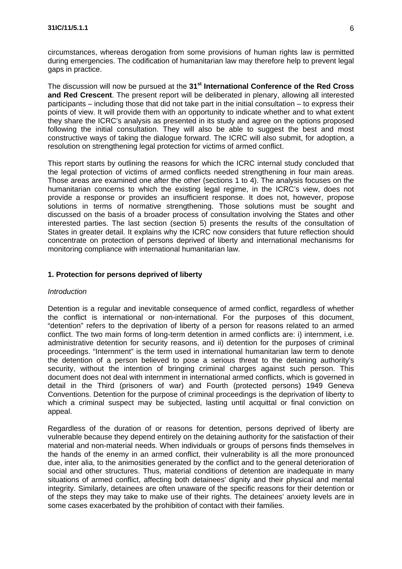circumstances, whereas derogation from some provisions of human rights law is permitted during emergencies. The codification of humanitarian law may therefore help to prevent legal gaps in practice.

The discussion will now be pursued at the **31st International Conference of the Red Cross and Red Crescent**. The present report will be deliberated in plenary, allowing all interested participants – including those that did not take part in the initial consultation – to express their points of view. It will provide them with an opportunity to indicate whether and to what extent they share the ICRC's analysis as presented in its study and agree on the options proposed following the initial consultation. They will also be able to suggest the best and most constructive ways of taking the dialogue forward. The ICRC will also submit, for adoption, a resolution on strengthening legal protection for victims of armed conflict.

This report starts by outlining the reasons for which the ICRC internal study concluded that the legal protection of victims of armed conflicts needed strengthening in four main areas. Those areas are examined one after the other (sections 1 to 4). The analysis focuses on the humanitarian concerns to which the existing legal regime, in the ICRC's view, does not provide a response or provides an insufficient response. It does not, however, propose solutions in terms of normative strengthening. Those solutions must be sought and discussed on the basis of a broader process of consultation involving the States and other interested parties. The last section (section 5) presents the results of the consultation of States in greater detail. It explains why the ICRC now considers that future reflection should concentrate on protection of persons deprived of liberty and international mechanisms for monitoring compliance with international humanitarian law.

## **1. Protection for persons deprived of liberty**

#### *Introduction*

Detention is a regular and inevitable consequence of armed conflict, regardless of whether the conflict is international or non-international. For the purposes of this document, "detention" refers to the deprivation of liberty of a person for reasons related to an armed conflict. The two main forms of long-term detention in armed conflicts are: i) internment, i.e. administrative detention for security reasons, and ii) detention for the purposes of criminal proceedings. "Internment" is the term used in international humanitarian law term to denote the detention of a person believed to pose a serious threat to the detaining authority's security, without the intention of bringing criminal charges against such person. This document does not deal with internment in international armed conflicts, which is governed in detail in the Third (prisoners of war) and Fourth (protected persons) 1949 Geneva Conventions. Detention for the purpose of criminal proceedings is the deprivation of liberty to which a criminal suspect may be subjected, lasting until acquittal or final conviction on appeal.

Regardless of the duration of or reasons for detention, persons deprived of liberty are vulnerable because they depend entirely on the detaining authority for the satisfaction of their material and non-material needs. When individuals or groups of persons finds themselves in the hands of the enemy in an armed conflict, their vulnerability is all the more pronounced due, inter alia, to the animosities generated by the conflict and to the general deterioration of social and other structures. Thus, material conditions of detention are inadequate in many situations of armed conflict, affecting both detainees' dignity and their physical and mental integrity. Similarly, detainees are often unaware of the specific reasons for their detention or of the steps they may take to make use of their rights. The detainees' anxiety levels are in some cases exacerbated by the prohibition of contact with their families.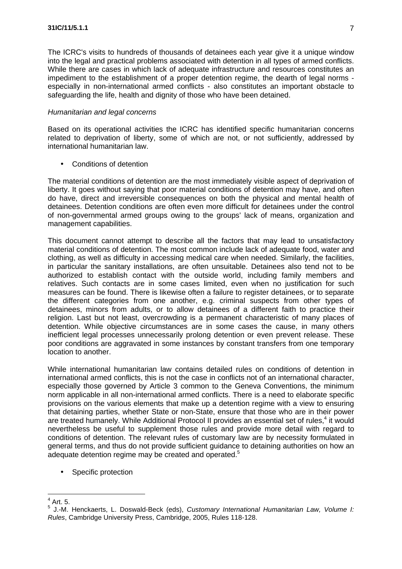The ICRC's visits to hundreds of thousands of detainees each year give it a unique window into the legal and practical problems associated with detention in all types of armed conflicts. While there are cases in which lack of adequate infrastructure and resources constitutes an impediment to the establishment of a proper detention regime, the dearth of legal norms especially in non-international armed conflicts - also constitutes an important obstacle to safeguarding the life, health and dignity of those who have been detained.

#### *Humanitarian and legal concerns*

Based on its operational activities the ICRC has identified specific humanitarian concerns related to deprivation of liberty, some of which are not, or not sufficiently, addressed by international humanitarian law.

• Conditions of detention

The material conditions of detention are the most immediately visible aspect of deprivation of liberty. It goes without saying that poor material conditions of detention may have, and often do have, direct and irreversible consequences on both the physical and mental health of detainees. Detention conditions are often even more difficult for detainees under the control of non-governmental armed groups owing to the groups' lack of means, organization and management capabilities.

This document cannot attempt to describe all the factors that may lead to unsatisfactory material conditions of detention. The most common include lack of adequate food, water and clothing, as well as difficulty in accessing medical care when needed. Similarly, the facilities, in particular the sanitary installations, are often unsuitable. Detainees also tend not to be authorized to establish contact with the outside world, including family members and relatives. Such contacts are in some cases limited, even when no justification for such measures can be found. There is likewise often a failure to register detainees, or to separate the different categories from one another, e.g. criminal suspects from other types of detainees, minors from adults, or to allow detainees of a different faith to practice their religion. Last but not least, overcrowding is a permanent characteristic of many places of detention. While objective circumstances are in some cases the cause, in many others inefficient legal processes unnecessarily prolong detention or even prevent release. These poor conditions are aggravated in some instances by constant transfers from one temporary location to another.

While international humanitarian law contains detailed rules on conditions of detention in international armed conflicts, this is not the case in conflicts not of an international character, especially those governed by Article 3 common to the Geneva Conventions, the minimum norm applicable in all non-international armed conflicts. There is a need to elaborate specific provisions on the various elements that make up a detention regime with a view to ensuring that detaining parties, whether State or non-State, ensure that those who are in their power are treated humanely. While Additional Protocol II provides an essential set of rules,<sup>4</sup> it would nevertheless be useful to supplement those rules and provide more detail with regard to conditions of detention. The relevant rules of customary law are by necessity formulated in general terms, and thus do not provide sufficient guidance to detaining authorities on how an adequate detention regime may be created and operated.<sup>5</sup>

• Specific protection

 $<sup>4</sup>$  Art. 5.</sup>

<sup>5</sup> J.-M. Henckaerts, L. Doswald-Beck (eds), *Customary International Humanitarian Law, Volume I: Rules*, Cambridge University Press, Cambridge, 2005, Rules 118-128.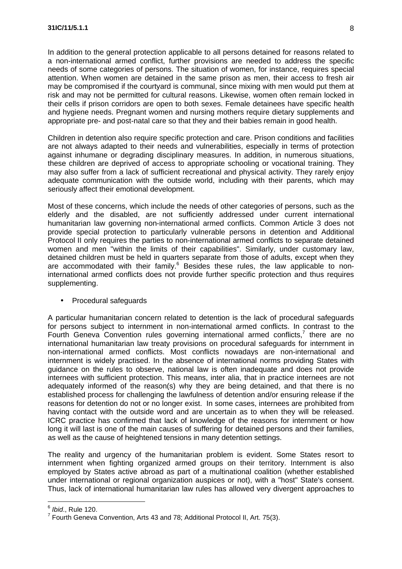In addition to the general protection applicable to all persons detained for reasons related to a non-international armed conflict, further provisions are needed to address the specific needs of some categories of persons. The situation of women, for instance, requires special attention. When women are detained in the same prison as men, their access to fresh air may be compromised if the courtyard is communal, since mixing with men would put them at risk and may not be permitted for cultural reasons. Likewise, women often remain locked in their cells if prison corridors are open to both sexes. Female detainees have specific health and hygiene needs. Pregnant women and nursing mothers require dietary supplements and appropriate pre- and post-natal care so that they and their babies remain in good health.

Children in detention also require specific protection and care. Prison conditions and facilities are not always adapted to their needs and vulnerabilities, especially in terms of protection against inhumane or degrading disciplinary measures. In addition, in numerous situations, these children are deprived of access to appropriate schooling or vocational training. They may also suffer from a lack of sufficient recreational and physical activity. They rarely enjoy adequate communication with the outside world, including with their parents, which may seriously affect their emotional development.

Most of these concerns, which include the needs of other categories of persons, such as the elderly and the disabled, are not sufficiently addressed under current international humanitarian law governing non-international armed conflicts. Common Article 3 does not provide special protection to particularly vulnerable persons in detention and Additional Protocol II only requires the parties to non-international armed conflicts to separate detained women and men "within the limits of their capabilities". Similarly, under customary law, detained children must be held in quarters separate from those of adults, except when they are accommodated with their family. $6$  Besides these rules, the law applicable to noninternational armed conflicts does not provide further specific protection and thus requires supplementing.

#### • Procedural safeguards

A particular humanitarian concern related to detention is the lack of procedural safeguards for persons subject to internment in non-international armed conflicts. In contrast to the Fourth Geneva Convention rules governing international armed conflicts, $<sup>7</sup>$  there are no</sup> international humanitarian law treaty provisions on procedural safeguards for internment in non-international armed conflicts. Most conflicts nowadays are non-international and internment is widely practised. In the absence of international norms providing States with guidance on the rules to observe, national law is often inadequate and does not provide internees with sufficient protection. This means, inter alia, that in practice internees are not adequately informed of the reason(s) why they are being detained, and that there is no established process for challenging the lawfulness of detention and/or ensuring release if the reasons for detention do not or no longer exist. In some cases, internees are prohibited from having contact with the outside word and are uncertain as to when they will be released. ICRC practice has confirmed that lack of knowledge of the reasons for internment or how long it will last is one of the main causes of suffering for detained persons and their families, as well as the cause of heightened tensions in many detention settings.

The reality and urgency of the humanitarian problem is evident. Some States resort to internment when fighting organized armed groups on their territory. Internment is also employed by States active abroad as part of a multinational coalition (whether established under international or regional organization auspices or not), with a "host" State's consent. Thus, lack of international humanitarian law rules has allowed very divergent approaches to

<sup>6</sup> *Ibid*., Rule 120.

 $^7$  Fourth Geneva Convention, Arts 43 and 78; Additional Protocol II, Art. 75(3).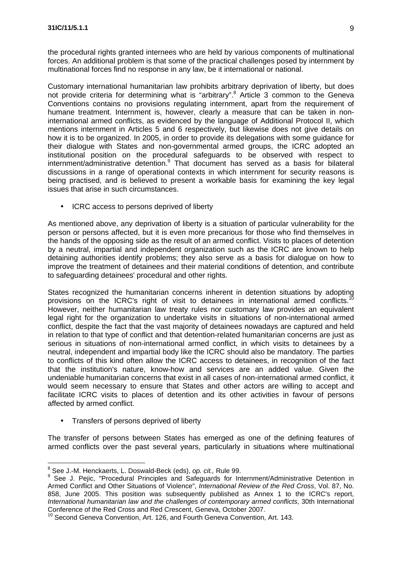the procedural rights granted internees who are held by various components of multinational forces. An additional problem is that some of the practical challenges posed by internment by multinational forces find no response in any law, be it international or national.

Customary international humanitarian law prohibits arbitrary deprivation of liberty, but does not provide criteria for determining what is "arbitrary". <sup>8</sup> Article 3 common to the Geneva Conventions contains no provisions regulating internment, apart from the requirement of humane treatment. Internment is, however, clearly a measure that can be taken in noninternational armed conflicts, as evidenced by the language of Additional Protocol II, which mentions internment in Articles 5 and 6 respectively, but likewise does not give details on how it is to be organized. In 2005, in order to provide its delegations with some guidance for their dialogue with States and non-governmental armed groups, the ICRC adopted an institutional position on the procedural safeguards to be observed with respect to internment/administrative detention.<sup>9</sup> That document has served as a basis for bilateral discussions in a range of operational contexts in which internment for security reasons is being practised, and is believed to present a workable basis for examining the key legal issues that arise in such circumstances.

• ICRC access to persons deprived of liberty

As mentioned above, any deprivation of liberty is a situation of particular vulnerability for the person or persons affected, but it is even more precarious for those who find themselves in the hands of the opposing side as the result of an armed conflict. Visits to places of detention by a neutral, impartial and independent organization such as the ICRC are known to help detaining authorities identify problems; they also serve as a basis for dialogue on how to improve the treatment of detainees and their material conditions of detention, and contribute to safeguarding detainees' procedural and other rights.

States recognized the humanitarian concerns inherent in detention situations by adopting provisions on the ICRC's right of visit to detainees in international armed conflicts.<sup>10</sup> However, neither humanitarian law treaty rules nor customary law provides an equivalent legal right for the organization to undertake visits in situations of non-international armed conflict, despite the fact that the vast majority of detainees nowadays are captured and held in relation to that type of conflict and that detention-related humanitarian concerns are just as serious in situations of non-international armed conflict, in which visits to detainees by a neutral, independent and impartial body like the ICRC should also be mandatory. The parties to conflicts of this kind often allow the ICRC access to detainees, in recognition of the fact that the institution's nature, know-how and services are an added value. Given the undeniable humanitarian concerns that exist in all cases of non-international armed conflict, it would seem necessary to ensure that States and other actors are willing to accept and facilitate ICRC visits to places of detention and its other activities in favour of persons affected by armed conflict.

• Transfers of persons deprived of liberty

The transfer of persons between States has emerged as one of the defining features of armed conflicts over the past several years, particularly in situations where multinational

<sup>8</sup> See J.-M. Henckaerts, L. Doswald-Beck (eds), *op. cit.,* Rule 99.

<sup>&</sup>lt;sup>9</sup> See J. Pejic, "Procedural Principles and Safeguards for Internment/Administrative Detention in Armed Conflict and Other Situations of Violence", *International Review of the Red Cross*, Vol. 87, No. 858, June 2005. This position was subsequently published as Annex 1 to the ICRC's report, *International humanitarian law and the challenges of contemporary armed conflicts*, 30th International Conference of the Red Cross and Red Crescent, Geneva, October 2007.

 $10$  Second Geneva Convention, Art. 126, and Fourth Geneva Convention, Art. 143.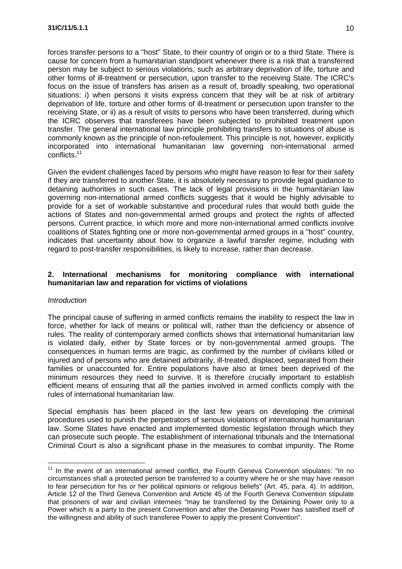forces transfer persons to a "host" State, to their country of origin or to a third State. There is cause for concern from a humanitarian standpoint whenever there is a risk that a transferred person may be subject to serious violations, such as arbitrary deprivation of life, torture and other forms of ill-treatment or persecution, upon transfer to the receiving State. The ICRC's focus on the issue of transfers has arisen as a result of, broadly speaking, two operational situations: i) when persons it visits express concern that they will be at risk of arbitrary deprivation of life, torture and other forms of ill-treatment or persecution upon transfer to the receiving State, or ii) as a result of visits to persons who have been transferred, during which the ICRC observes that transferees have been subjected to prohibited treatment upon transfer. The general international law principle prohibiting transfers to situations of abuse is commonly known as the principle of non-refoulement. This principle is not, however, explicitly incorporated into international humanitarian law governing non-international armed conflicts. 11

Given the evident challenges faced by persons who might have reason to fear for their safety if they are transferred to another State, it is absolutely necessary to provide legal guidance to detaining authorities in such cases. The lack of legal provisions in the humanitarian law governing non-international armed conflicts suggests that it would be highly advisable to provide for a set of workable substantive and procedural rules that would both guide the actions of States and non-governmental armed groups and protect the rights of affected persons. Current practice, in which more and more non-international armed conflicts involve coalitions of States fighting one or more non-governmental armed groups in a "host" country, indicates that uncertainty about how to organize a lawful transfer regime, including with regard to post-transfer responsibilities, is likely to increase, rather than decrease.

### **2. International mechanisms for monitoring compliance with international humanitarian law and reparation for victims of violations**

#### *Introduction*

The principal cause of suffering in armed conflicts remains the inability to respect the law in force, whether for lack of means or political will, rather than the deficiency or absence of rules. The reality of contemporary armed conflicts shows that international humanitarian law is violated daily, either by State forces or by non-governmental armed groups. The consequences in human terms are tragic, as confirmed by the number of civilians killed or injured and of persons who are detained arbitrarily, ill-treated, displaced, separated from their families or unaccounted for. Entire populations have also at times been deprived of the minimum resources they need to survive. It is therefore crucially important to establish efficient means of ensuring that all the parties involved in armed conflicts comply with the rules of international humanitarian law.

Special emphasis has been placed in the last few years on developing the criminal procedures used to punish the perpetrators of serious violations of international humanitarian law. Some States have enacted and implemented domestic legislation through which they can prosecute such people. The establishment of international tribunals and the International Criminal Court is also a significant phase in the measures to combat impunity. The Rome

 $11$  In the event of an international armed conflict, the Fourth Geneva Convention stipulates: "In no circumstances shall a protected person be transferred to a country where he or she may have reason to fear persecution for his or her political opinions or religious beliefs" (Art. 45, para. 4). In addition, Article 12 of the Third Geneva Convention and Article 45 of the Fourth Geneva Convention stipulate that prisoners of war and civilian internees "may be transferred by the Detaining Power only to a Power which is a party to the present Convention and after the Detaining Power has satisfied itself of the willingness and ability of such transferee Power to apply the present Convention".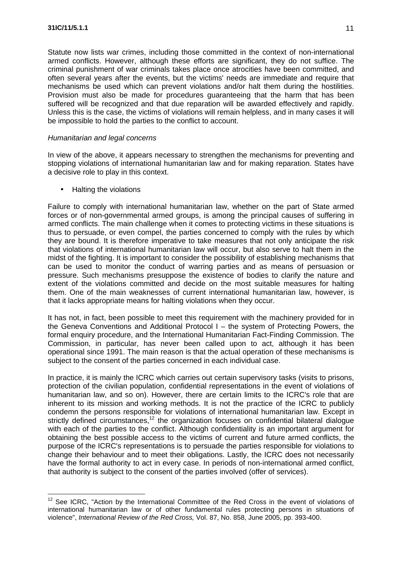Statute now lists war crimes, including those committed in the context of non-international armed conflicts. However, although these efforts are significant, they do not suffice. The criminal punishment of war criminals takes place once atrocities have been committed, and often several years after the events, but the victims' needs are immediate and require that mechanisms be used which can prevent violations and/or halt them during the hostilities. Provision must also be made for procedures guaranteeing that the harm that has been suffered will be recognized and that due reparation will be awarded effectively and rapidly. Unless this is the case, the victims of violations will remain helpless, and in many cases it will be impossible to hold the parties to the conflict to account.

#### *Humanitarian and legal concerns*

In view of the above, it appears necessary to strengthen the mechanisms for preventing and stopping violations of international humanitarian law and for making reparation. States have a decisive role to play in this context.

• Halting the violations

Failure to comply with international humanitarian law, whether on the part of State armed forces or of non-governmental armed groups, is among the principal causes of suffering in armed conflicts. The main challenge when it comes to protecting victims in these situations is thus to persuade, or even compel, the parties concerned to comply with the rules by which they are bound. It is therefore imperative to take measures that not only anticipate the risk that violations of international humanitarian law will occur, but also serve to halt them in the midst of the fighting. It is important to consider the possibility of establishing mechanisms that can be used to monitor the conduct of warring parties and as means of persuasion or pressure. Such mechanisms presuppose the existence of bodies to clarify the nature and extent of the violations committed and decide on the most suitable measures for halting them. One of the main weaknesses of current international humanitarian law, however, is that it lacks appropriate means for halting violations when they occur.

It has not, in fact, been possible to meet this requirement with the machinery provided for in the Geneva Conventions and Additional Protocol I – the system of Protecting Powers, the formal enquiry procedure, and the International Humanitarian Fact-Finding Commission. The Commission, in particular, has never been called upon to act, although it has been operational since 1991. The main reason is that the actual operation of these mechanisms is subject to the consent of the parties concerned in each individual case.

In practice, it is mainly the ICRC which carries out certain supervisory tasks (visits to prisons, protection of the civilian population, confidential representations in the event of violations of humanitarian law, and so on). However, there are certain limits to the ICRC's role that are inherent to its mission and working methods. It is not the practice of the ICRC to publicly condemn the persons responsible for violations of international humanitarian law. Except in strictly defined circumstances,<sup>12</sup> the organization focuses on confidential bilateral dialogue with each of the parties to the conflict. Although confidentiality is an important argument for obtaining the best possible access to the victims of current and future armed conflicts, the purpose of the ICRC's representations is to persuade the parties responsible for violations to change their behaviour and to meet their obligations. Lastly, the ICRC does not necessarily have the formal authority to act in every case. In periods of non-international armed conflict, that authority is subject to the consent of the parties involved (offer of services).

<sup>&</sup>lt;sup>12</sup> See ICRC, "Action by the International Committee of the Red Cross in the event of violations of international humanitarian law or of other fundamental rules protecting persons in situations of violence", *International Review of the Red Cross,* Vol. 87, No. 858, June 2005, pp. 393-400.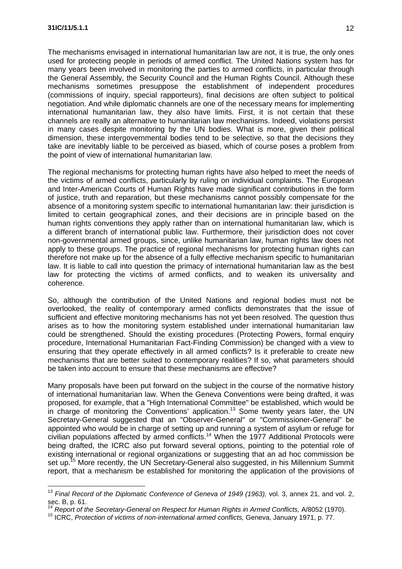The mechanisms envisaged in international humanitarian law are not, it is true, the only ones used for protecting people in periods of armed conflict. The United Nations system has for many years been involved in monitoring the parties to armed conflicts, in particular through the General Assembly, the Security Council and the Human Rights Council. Although these mechanisms sometimes presuppose the establishment of independent procedures (commissions of inquiry, special rapporteurs), final decisions are often subject to political negotiation. And while diplomatic channels are one of the necessary means for implementing international humanitarian law, they also have limits. First, it is not certain that these channels are really an alternative to humanitarian law mechanisms. Indeed, violations persist in many cases despite monitoring by the UN bodies. What is more, given their political dimension, these intergovernmental bodies tend to be selective, so that the decisions they take are inevitably liable to be perceived as biased, which of course poses a problem from the point of view of international humanitarian law.

The regional mechanisms for protecting human rights have also helped to meet the needs of the victims of armed conflicts, particularly by ruling on individual complaints. The European and Inter-American Courts of Human Rights have made significant contributions in the form of justice, truth and reparation, but these mechanisms cannot possibly compensate for the absence of a monitoring system specific to international humanitarian law: their jurisdiction is limited to certain geographical zones, and their decisions are in principle based on the human rights conventions they apply rather than on international humanitarian law, which is a different branch of international public law. Furthermore, their jurisdiction does not cover non-governmental armed groups, since, unlike humanitarian law, human rights law does not apply to these groups. The practice of regional mechanisms for protecting human rights can therefore not make up for the absence of a fully effective mechanism specific to humanitarian law. It is liable to call into question the primacy of international humanitarian law as the best law for protecting the victims of armed conflicts, and to weaken its universality and coherence.

So, although the contribution of the United Nations and regional bodies must not be overlooked, the reality of contemporary armed conflicts demonstrates that the issue of sufficient and effective monitoring mechanisms has not yet been resolved. The question thus arises as to how the monitoring system established under international humanitarian law could be strengthened. Should the existing procedures (Protecting Powers, formal enquiry procedure, International Humanitarian Fact-Finding Commission) be changed with a view to ensuring that they operate effectively in all armed conflicts? Is it preferable to create new mechanisms that are better suited to contemporary realities? If so, what parameters should be taken into account to ensure that these mechanisms are effective?

Many proposals have been put forward on the subject in the course of the normative history of international humanitarian law. When the Geneva Conventions were being drafted, it was proposed, for example, that a "High International Committee" be established, which would be in charge of monitoring the Conventions' application.<sup>13</sup> Some twenty years later, the UN Secretary-General suggested that an "Observer-General" or "Commissioner-General" be appointed who would be in charge of setting up and running a system of asylum or refuge for civilian populations affected by armed conflicts.<sup>14</sup> When the 1977 Additional Protocols were being drafted, the ICRC also put forward several options, pointing to the potential role of existing international or regional organizations or suggesting that an ad hoc commission be set up.<sup>15</sup> More recently, the UN Secretary-General also suggested, in his Millennium Summit report, that a mechanism be established for monitoring the application of the provisions of

<sup>&</sup>lt;sup>13</sup> Final Record of the Diplomatic Conference of Geneva of 1949 (1963), vol. 3, annex 21, and vol. 2, sec. B, p. 61.

<sup>&</sup>lt;sup>4</sup> Report of the Secretary-General on Respect for Human Rights in Armed Conflicts, A/8052 (1970).

<sup>&</sup>lt;sup>15</sup> ICRC, *Protection of victims of non-international armed conflicts, Geneva, January 1971, p. 77.*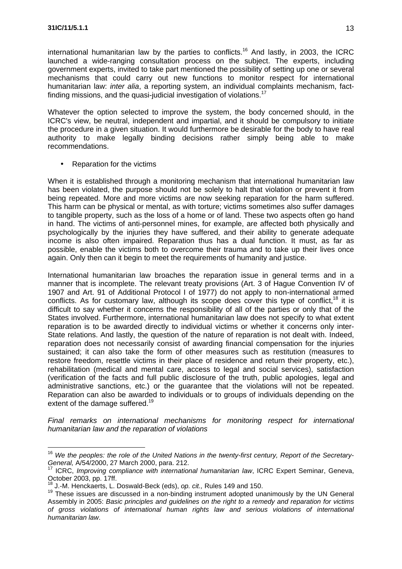international humanitarian law by the parties to conflicts.<sup>16</sup> And lastly, in 2003, the ICRC launched a wide-ranging consultation process on the subject. The experts, including government experts, invited to take part mentioned the possibility of setting up one or several mechanisms that could carry out new functions to monitor respect for international humanitarian law: *inter alia*, a reporting system, an individual complaints mechanism, factfinding missions, and the quasi-judicial investigation of violations.<sup>17</sup>

Whatever the option selected to improve the system, the body concerned should, in the ICRC's view, be neutral, independent and impartial, and it should be compulsory to initiate the procedure in a given situation. It would furthermore be desirable for the body to have real authority to make legally binding decisions rather simply being able to make recommendations.

• Reparation for the victims

When it is established through a monitoring mechanism that international humanitarian law has been violated, the purpose should not be solely to halt that violation or prevent it from being repeated. More and more victims are now seeking reparation for the harm suffered. This harm can be physical or mental, as with torture; victims sometimes also suffer damages to tangible property, such as the loss of a home or of land. These two aspects often go hand in hand. The victims of anti-personnel mines, for example, are affected both physically and psychologically by the injuries they have suffered, and their ability to generate adequate income is also often impaired. Reparation thus has a dual function. It must, as far as possible, enable the victims both to overcome their trauma and to take up their lives once again. Only then can it begin to meet the requirements of humanity and justice.

International humanitarian law broaches the reparation issue in general terms and in a manner that is incomplete. The relevant treaty provisions (Art. 3 of Hague Convention IV of 1907 and Art. 91 of Additional Protocol I of 1977) do not apply to non-international armed conflicts. As for customary law, although its scope does cover this type of conflict,<sup>18</sup> it is difficult to say whether it concerns the responsibility of all of the parties or only that of the States involved. Furthermore, international humanitarian law does not specify to what extent reparation is to be awarded directly to individual victims or whether it concerns only inter-State relations. And lastly, the question of the nature of reparation is not dealt with. Indeed, reparation does not necessarily consist of awarding financial compensation for the injuries sustained; it can also take the form of other measures such as restitution (measures to restore freedom, resettle victims in their place of residence and return their property, etc.), rehabilitation (medical and mental care, access to legal and social services), satisfaction (verification of the facts and full public disclosure of the truth, public apologies, legal and administrative sanctions, etc.) or the guarantee that the violations will not be repeated. Reparation can also be awarded to individuals or to groups of individuals depending on the extent of the damage suffered.<sup>19</sup>

*Final remarks on international mechanisms for monitoring respect for international humanitarian law and the reparation of violations*

<sup>&</sup>lt;sup>16</sup> We the peoples: the role of the United Nations in the twenty-first century, Report of the Secretary-*General,* A/54/2000, 27 March 2000, para. 212.

<sup>17</sup> ICRC, *Improving compliance with international humanitarian law*, ICRC Expert Seminar, Geneva, October 2003, pp. 17ff.

<sup>18</sup> J.-M. Henckaerts, L. Doswald-Beck (eds), *op. cit.,* Rules 149 and 150.

 $19$  These issues are discussed in a non-binding instrument adopted unanimously by the UN General Assembly in 2005: *Basic principles and guidelines on the right to a remedy and reparation for victims of gross violations of international human rights law and serious violations of international humanitarian law*.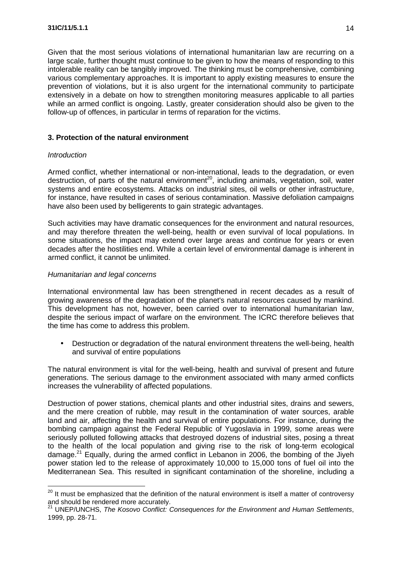Given that the most serious violations of international humanitarian law are recurring on a large scale, further thought must continue to be given to how the means of responding to this intolerable reality can be tangibly improved. The thinking must be comprehensive, combining various complementary approaches. It is important to apply existing measures to ensure the prevention of violations, but it is also urgent for the international community to participate extensively in a debate on how to strengthen monitoring measures applicable to all parties while an armed conflict is ongoing. Lastly, greater consideration should also be given to the follow-up of offences, in particular in terms of reparation for the victims.

## **3. Protection of the natural environment**

## *Introduction*

Armed conflict, whether international or non-international, leads to the degradation, or even destruction, of parts of the natural environment<sup>20</sup>, including animals, vegetation, soil, water systems and entire ecosystems. Attacks on industrial sites, oil wells or other infrastructure, for instance, have resulted in cases of serious contamination. Massive defoliation campaigns have also been used by belligerents to gain strategic advantages.

Such activities may have dramatic consequences for the environment and natural resources, and may therefore threaten the well-being, health or even survival of local populations. In some situations, the impact may extend over large areas and continue for years or even decades after the hostilities end. While a certain level of environmental damage is inherent in armed conflict, it cannot be unlimited.

#### *Humanitarian and legal concerns*

International environmental law has been strengthened in recent decades as a result of growing awareness of the degradation of the planet's natural resources caused by mankind. This development has not, however, been carried over to international humanitarian law, despite the serious impact of warfare on the environment. The ICRC therefore believes that the time has come to address this problem.

• Destruction or degradation of the natural environment threatens the well-being, health and survival of entire populations

The natural environment is vital for the well-being, health and survival of present and future generations. The serious damage to the environment associated with many armed conflicts increases the vulnerability of affected populations.

Destruction of power stations, chemical plants and other industrial sites, drains and sewers, and the mere creation of rubble, may result in the contamination of water sources, arable land and air, affecting the health and survival of entire populations. For instance, during the bombing campaign against the Federal Republic of Yugoslavia in 1999, some areas were seriously polluted following attacks that destroyed dozens of industrial sites, posing a threat to the health of the local population and giving rise to the risk of long-term ecological damage.<sup>21</sup> Equally, during the armed conflict in Lebanon in 2006, the bombing of the Jiyeh power station led to the release of approximately 10,000 to 15,000 tons of fuel oil into the Mediterranean Sea. This resulted in significant contamination of the shoreline, including a

 $20$  It must be emphasized that the definition of the natural environment is itself a matter of controversy and should be rendered more accurately.

<sup>21</sup> UNEP/UNCHS, *The Kosovo Conflict: Consequences for the Environment and Human Settlements*, 1999, pp. 28-71.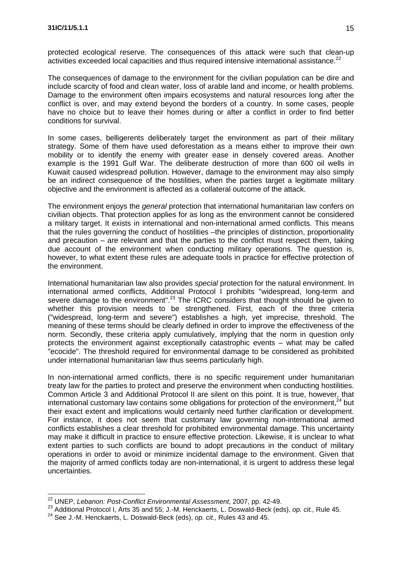protected ecological reserve. The consequences of this attack were such that clean-up activities exceeded local capacities and thus required intensive international assistance. $2^2$ 

The consequences of damage to the environment for the civilian population can be dire and include scarcity of food and clean water, loss of arable land and income, or health problems. Damage to the environment often impairs ecosystems and natural resources long after the conflict is over, and may extend beyond the borders of a country. In some cases, people have no choice but to leave their homes during or after a conflict in order to find better conditions for survival.

In some cases, belligerents deliberately target the environment as part of their military strategy. Some of them have used deforestation as a means either to improve their own mobility or to identify the enemy with greater ease in densely covered areas. Another example is the 1991 Gulf War. The deliberate destruction of more than 600 oil wells in Kuwait caused widespread pollution. However, damage to the environment may also simply be an indirect consequence of the hostilities, when the parties target a legitimate military objective and the environment is affected as a collateral outcome of the attack.

The environment enjoys the *general* protection that international humanitarian law confers on civilian objects. That protection applies for as long as the environment cannot be considered a military target. It exists in international and non-international armed conflicts. This means that the rules governing the conduct of hostilities –the principles of distinction, proportionality and precaution – are relevant and that the parties to the conflict must respect them, taking due account of the environment when conducting military operations. The question is, however, to what extent these rules are adequate tools in practice for effective protection of the environment.

International humanitarian law also provides *special* protection for the natural environment. In international armed conflicts, Additional Protocol I prohibits "widespread, long-term and severe damage to the environment".<sup>23</sup> The ICRC considers that thought should be given to whether this provision needs to be strengthened. First, each of the three criteria ("widespread, long-term and severe") establishes a high, yet imprecise, threshold. The meaning of these terms should be clearly defined in order to improve the effectiveness of the norm. Secondly, these criteria apply cumulatively, implying that the norm in question only protects the environment against exceptionally catastrophic events – what may be called "ecocide". The threshold required for environmental damage to be considered as prohibited under international humanitarian law thus seems particularly high.

In non-international armed conflicts, there is no specific requirement under humanitarian treaty law for the parties to protect and preserve the environment when conducting hostilities. Common Article 3 and Additional Protocol II are silent on this point. It is true, however, that international customary law contains some obligations for protection of the environment, $^{24}$  but their exact extent and implications would certainly need further clarification or development. For instance, it does not seem that customary law governing non-international armed conflicts establishes a clear threshold for prohibited environmental damage. This uncertainty may make it difficult in practice to ensure effective protection. Likewise, it is unclear to what extent parties to such conflicts are bound to adopt precautions in the conduct of military operations in order to avoid or minimize incidental damage to the environment. Given that the majority of armed conflicts today are non-international, it is urgent to address these legal uncertainties.

<sup>22</sup> UNEP, *Lebanon: Post-Conflict Environmental Assessment*, 2007, pp. 42-49.

<sup>23</sup> Additional Protocol I, Arts 35 and 55; J.-M. Henckaerts, L. Doswald-Beck (eds), *op. cit.,* Rule 45.

<sup>24</sup> See J.-M. Henckaerts, L. Doswald-Beck (eds), *op. cit.,* Rules 43 and 45.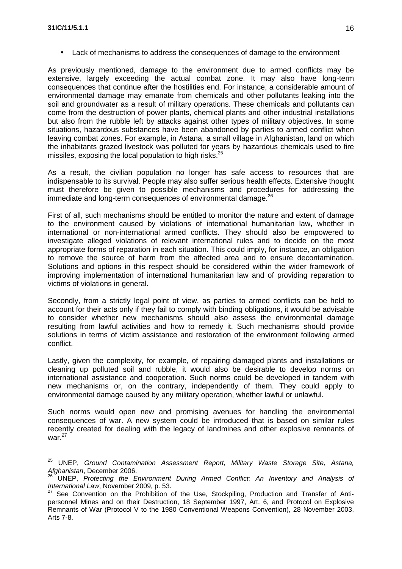• Lack of mechanisms to address the consequences of damage to the environment

As previously mentioned, damage to the environment due to armed conflicts may be extensive, largely exceeding the actual combat zone. It may also have long-term consequences that continue after the hostilities end. For instance, a considerable amount of environmental damage may emanate from chemicals and other pollutants leaking into the soil and groundwater as a result of military operations. These chemicals and pollutants can come from the destruction of power plants, chemical plants and other industrial installations but also from the rubble left by attacks against other types of military objectives. In some situations, hazardous substances have been abandoned by parties to armed conflict when leaving combat zones. For example, in Astana, a small village in Afghanistan, land on which the inhabitants grazed livestock was polluted for years by hazardous chemicals used to fire missiles, exposing the local population to high risks.<sup>25</sup>

As a result, the civilian population no longer has safe access to resources that are indispensable to its survival. People may also suffer serious health effects. Extensive thought must therefore be given to possible mechanisms and procedures for addressing the immediate and long-term consequences of environmental damage.<sup>26</sup>

First of all, such mechanisms should be entitled to monitor the nature and extent of damage to the environment caused by violations of international humanitarian law, whether in international or non-international armed conflicts. They should also be empowered to investigate alleged violations of relevant international rules and to decide on the most appropriate forms of reparation in each situation. This could imply, for instance, an obligation to remove the source of harm from the affected area and to ensure decontamination. Solutions and options in this respect should be considered within the wider framework of improving implementation of international humanitarian law and of providing reparation to victims of violations in general.

Secondly, from a strictly legal point of view, as parties to armed conflicts can be held to account for their acts only if they fail to comply with binding obligations, it would be advisable to consider whether new mechanisms should also assess the environmental damage resulting from lawful activities and how to remedy it. Such mechanisms should provide solutions in terms of victim assistance and restoration of the environment following armed conflict.

Lastly, given the complexity, for example, of repairing damaged plants and installations or cleaning up polluted soil and rubble, it would also be desirable to develop norms on international assistance and cooperation. Such norms could be developed in tandem with new mechanisms or, on the contrary, independently of them. They could apply to environmental damage caused by any military operation, whether lawful or unlawful.

Such norms would open new and promising avenues for handling the environmental consequences of war. A new system could be introduced that is based on similar rules recently created for dealing with the legacy of landmines and other explosive remnants of war. $27$ 

<sup>25</sup> UNEP, *Ground Contamination Assessment Report, Military Waste Storage Site, Astana, Afghanistan*, December 2006.

<sup>26</sup> UNEP, *Protecting the Environment During Armed Conflict: An Inventory and Analysis of International Law*, November 2009, p. 53.

See Convention on the Prohibition of the Use, Stockpiling, Production and Transfer of Antipersonnel Mines and on their Destruction, 18 September 1997, Art. 6, and Protocol on Explosive Remnants of War (Protocol V to the 1980 Conventional Weapons Convention), 28 November 2003, Arts 7-8.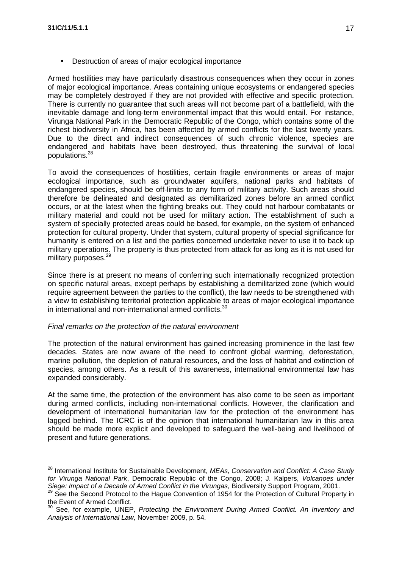• Destruction of areas of major ecological importance

Armed hostilities may have particularly disastrous consequences when they occur in zones of major ecological importance. Areas containing unique ecosystems or endangered species may be completely destroyed if they are not provided with effective and specific protection. There is currently no guarantee that such areas will not become part of a battlefield, with the inevitable damage and long-term environmental impact that this would entail. For instance, Virunga National Park in the Democratic Republic of the Congo, which contains some of the richest biodiversity in Africa, has been affected by armed conflicts for the last twenty years. Due to the direct and indirect consequences of such chronic violence, species are endangered and habitats have been destroyed, thus threatening the survival of local populations.<sup>28</sup>

To avoid the consequences of hostilities, certain fragile environments or areas of major ecological importance, such as groundwater aquifers, national parks and habitats of endangered species, should be off-limits to any form of military activity. Such areas should therefore be delineated and designated as demilitarized zones before an armed conflict occurs, or at the latest when the fighting breaks out. They could not harbour combatants or military material and could not be used for military action. The establishment of such a system of specially protected areas could be based, for example, on the system of enhanced protection for cultural property. Under that system, cultural property of special significance for humanity is entered on a list and the parties concerned undertake never to use it to back up military operations. The property is thus protected from attack for as long as it is not used for military purposes.<sup>29</sup>

Since there is at present no means of conferring such internationally recognized protection on specific natural areas, except perhaps by establishing a demilitarized zone (which would require agreement between the parties to the conflict), the law needs to be strengthened with a view to establishing territorial protection applicable to areas of major ecological importance in international and non-international armed conflicts.<sup>30</sup>

## *Final remarks on the protection of the natural environment*

The protection of the natural environment has gained increasing prominence in the last few decades. States are now aware of the need to confront global warming, deforestation, marine pollution, the depletion of natural resources, and the loss of habitat and extinction of species, among others. As a result of this awareness, international environmental law has expanded considerably.

At the same time, the protection of the environment has also come to be seen as important during armed conflicts, including non-international conflicts. However, the clarification and development of international humanitarian law for the protection of the environment has lagged behind. The ICRC is of the opinion that international humanitarian law in this area should be made more explicit and developed to safeguard the well-being and livelihood of present and future generations.

<sup>28</sup> International Institute for Sustainable Development, *MEAs, Conservation and Conflict: A Case Study for Virunga National Park*, Democratic Republic of the Congo, 2008; J. Kalpers, *Volcanoes under Siege: Impact of a Decade of Armed Conflict in the Virungas*, Biodiversity Support Program, 2001.

<sup>&</sup>lt;sup>29</sup> See the Second Protocol to the Hague Convention of 1954 for the Protection of Cultural Property in the Event of Armed Conflict.

<sup>30</sup> See, for example, UNEP, *Protecting the Environment During Armed Conflict. An Inventory and Analysis of International Law*, November 2009, p. 54.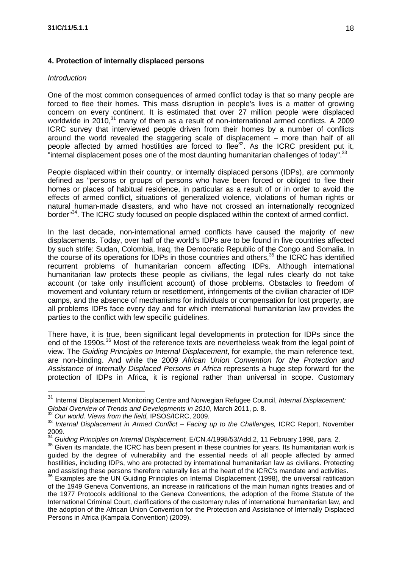## **4. Protection of internally displaced persons**

#### *Introduction*

One of the most common consequences of armed conflict today is that so many people are forced to flee their homes. This mass disruption in people's lives is a matter of growing concern on every continent. It is estimated that over 27 million people were displaced worldwide in 2010,<sup>31</sup> many of them as a result of non-international armed conflicts. A 2009 ICRC survey that interviewed people driven from their homes by a number of conflicts around the world revealed the staggering scale of displacement – more than half of all people affected by armed hostilities are forced to flee $32$ . As the ICRC president put it, "internal displacement poses one of the most daunting humanitarian challenges of today".<sup>33</sup>

People displaced within their country, or internally displaced persons (IDPs), are commonly defined as "persons or groups of persons who have been forced or obliged to flee their homes or places of habitual residence, in particular as a result of or in order to avoid the effects of armed conflict, situations of generalized violence, violations of human rights or natural human-made disasters, and who have not crossed an internationally recognized border<sup>34</sup>. The ICRC study focused on people displaced within the context of armed conflict.

In the last decade, non-international armed conflicts have caused the majority of new displacements. Today, over half of the world's IDPs are to be found in five countries affected by such strife: Sudan, Colombia, Iraq, the Democratic Republic of the Congo and Somalia. In the course of its operations for IDPs in those countries and others,<sup>35</sup> the ICRC has identified recurrent problems of humanitarian concern affecting IDPs. Although international humanitarian law protects these people as civilians, the legal rules clearly do not take account (or take only insufficient account) of those problems. Obstacles to freedom of movement and voluntary return or resettlement, infringements of the civilian character of IDP camps, and the absence of mechanisms for individuals or compensation for lost property, are all problems IDPs face every day and for which international humanitarian law provides the parties to the conflict with few specific guidelines.

There have, it is true, been significant legal developments in protection for IDPs since the end of the 1990s.<sup>36</sup> Most of the reference texts are nevertheless weak from the legal point of view. The *Guiding Principles on Internal Displacement*, for example, the main reference text, are non-binding. And while the 2009 *African Union Convention for the Protection and Assistance of Internally Displaced Persons in Africa* represents a huge step forward for the protection of IDPs in Africa, it is regional rather than universal in scope. Customary

<sup>31</sup> Internal Displacement Monitoring Centre and Norwegian Refugee Council, *Internal Displacement: Global Overview of Trends and Developments in 2010*, March 2011, p. 8.

<sup>32</sup> *Our world. Views from the field,* IPSOS/ICRC, 2009*.*

<sup>33</sup> *Internal Displacement in Armed Conflict – Facing up to the Challenges,* ICRC Report, November 2009.

<sup>34</sup> *Guiding Principles on Internal Displacement,* E/CN.4/1998/53/Add.2, 11 February 1998, para. 2.

<sup>&</sup>lt;sup>35</sup> Given its mandate, the ICRC has been present in these countries for years. Its humanitarian work is guided by the degree of vulnerability and the essential needs of all people affected by armed hostilities, including IDPs, who are protected by international humanitarian law as civilians. Protecting and assisting these persons therefore naturally lies at the heart of the ICRC's mandate and activities.

 $\overline{3}$  Examples are the UN Guiding Principles on Internal Displacement (1998), the universal ratification of the 1949 Geneva Conventions, an increase in ratifications of the main human rights treaties and of the 1977 Protocols additional to the Geneva Conventions, the adoption of the Rome Statute of the International Criminal Court, clarifications of the customary rules of international humanitarian law, and the adoption of the African Union Convention for the Protection and Assistance of Internally Displaced Persons in Africa (Kampala Convention) (2009).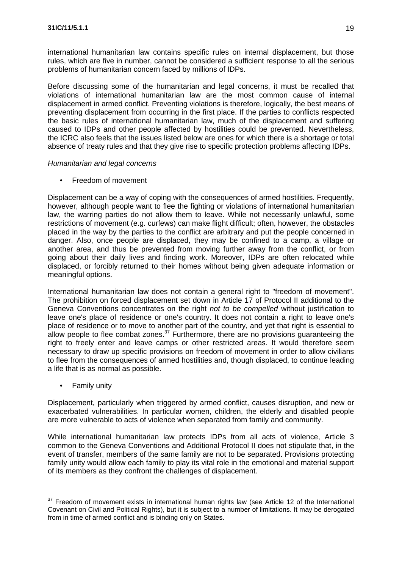international humanitarian law contains specific rules on internal displacement, but those rules, which are five in number, cannot be considered a sufficient response to all the serious problems of humanitarian concern faced by millions of IDPs.

Before discussing some of the humanitarian and legal concerns, it must be recalled that violations of international humanitarian law are the most common cause of internal displacement in armed conflict. Preventing violations is therefore, logically, the best means of preventing displacement from occurring in the first place. If the parties to conflicts respected the basic rules of international humanitarian law, much of the displacement and suffering caused to IDPs and other people affected by hostilities could be prevented. Nevertheless, the ICRC also feels that the issues listed below are ones for which there is a shortage or total absence of treaty rules and that they give rise to specific protection problems affecting IDPs.

#### *Humanitarian and legal concerns*

• Freedom of movement

Displacement can be a way of coping with the consequences of armed hostilities. Frequently, however, although people want to flee the fighting or violations of international humanitarian law, the warring parties do not allow them to leave. While not necessarily unlawful, some restrictions of movement (e.g. curfews) can make flight difficult; often, however, the obstacles placed in the way by the parties to the conflict are arbitrary and put the people concerned in danger. Also, once people are displaced, they may be confined to a camp, a village or another area, and thus be prevented from moving further away from the conflict, or from going about their daily lives and finding work. Moreover, IDPs are often relocated while displaced, or forcibly returned to their homes without being given adequate information or meaningful options.

International humanitarian law does not contain a general right to "freedom of movement". The prohibition on forced displacement set down in Article 17 of Protocol II additional to the Geneva Conventions concentrates on the right *not to be compelled* without justification to leave one's place of residence or one's country. It does not contain a right to leave one's place of residence or to move to another part of the country, and yet that right is essential to allow people to flee combat zones.<sup>37</sup> Furthermore, there are no provisions guaranteeing the right to freely enter and leave camps or other restricted areas. It would therefore seem necessary to draw up specific provisions on freedom of movement in order to allow civilians to flee from the consequences of armed hostilities and, though displaced, to continue leading a life that is as normal as possible.

• Family unity

Displacement, particularly when triggered by armed conflict, causes disruption, and new or exacerbated vulnerabilities. In particular women, children, the elderly and disabled people are more vulnerable to acts of violence when separated from family and community.

While international humanitarian law protects IDPs from all acts of violence, Article 3 common to the Geneva Conventions and Additional Protocol II does not stipulate that, in the event of transfer, members of the same family are not to be separated. Provisions protecting family unity would allow each family to play its vital role in the emotional and material support of its members as they confront the challenges of displacement.

 $37$  Freedom of movement exists in international human rights law (see Article 12 of the International Covenant on Civil and Political Rights), but it is subject to a number of limitations. It may be derogated from in time of armed conflict and is binding only on States.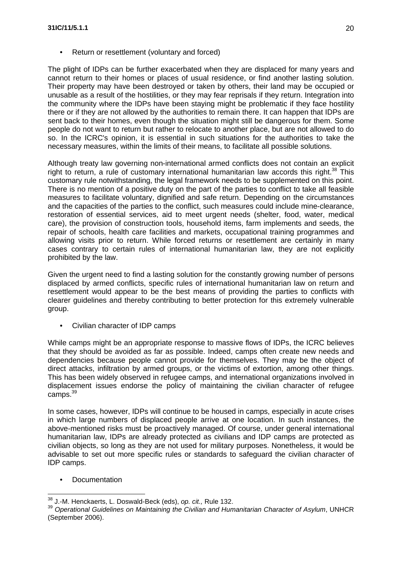• Return or resettlement (voluntary and forced)

The plight of IDPs can be further exacerbated when they are displaced for many years and cannot return to their homes or places of usual residence, or find another lasting solution. Their property may have been destroyed or taken by others, their land may be occupied or unusable as a result of the hostilities, or they may fear reprisals if they return. Integration into the community where the IDPs have been staying might be problematic if they face hostility there or if they are not allowed by the authorities to remain there. It can happen that IDPs are sent back to their homes, even though the situation might still be dangerous for them. Some people do not want to return but rather to relocate to another place, but are not allowed to do so. In the ICRC's opinion, it is essential in such situations for the authorities to take the necessary measures, within the limits of their means, to facilitate all possible solutions.

Although treaty law governing non-international armed conflicts does not contain an explicit right to return, a rule of customary international humanitarian law accords this right.<sup>38</sup> This customary rule notwithstanding, the legal framework needs to be supplemented on this point. There is no mention of a positive duty on the part of the parties to conflict to take all feasible measures to facilitate voluntary, dignified and safe return. Depending on the circumstances and the capacities of the parties to the conflict, such measures could include mine-clearance, restoration of essential services, aid to meet urgent needs (shelter, food, water, medical care), the provision of construction tools, household items, farm implements and seeds, the repair of schools, health care facilities and markets, occupational training programmes and allowing visits prior to return. While forced returns or resettlement are certainly in many cases contrary to certain rules of international humanitarian law, they are not explicitly prohibited by the law.

Given the urgent need to find a lasting solution for the constantly growing number of persons displaced by armed conflicts, specific rules of international humanitarian law on return and resettlement would appear to be the best means of providing the parties to conflicts with clearer guidelines and thereby contributing to better protection for this extremely vulnerable group.

• Civilian character of IDP camps

While camps might be an appropriate response to massive flows of IDPs, the ICRC believes that they should be avoided as far as possible. Indeed, camps often create new needs and dependencies because people cannot provide for themselves. They may be the object of direct attacks, infiltration by armed groups, or the victims of extortion, among other things. This has been widely observed in refugee camps, and international organizations involved in displacement issues endorse the policy of maintaining the civilian character of refugee camps.<sup>39</sup>

In some cases, however, IDPs will continue to be housed in camps, especially in acute crises in which large numbers of displaced people arrive at one location. In such instances, the above-mentioned risks must be proactively managed. Of course, under general international humanitarian law, IDPs are already protected as civilians and IDP camps are protected as civilian objects, so long as they are not used for military purposes. Nonetheless, it would be advisable to set out more specific rules or standards to safeguard the civilian character of IDP camps.

• Documentation

<sup>38</sup> J.-M. Henckaerts, L. Doswald-Beck (eds), *op. cit.,* Rule 132.

<sup>39</sup> *Operational Guidelines on Maintaining the Civilian and Humanitarian Character of Asylum*, UNHCR (September 2006).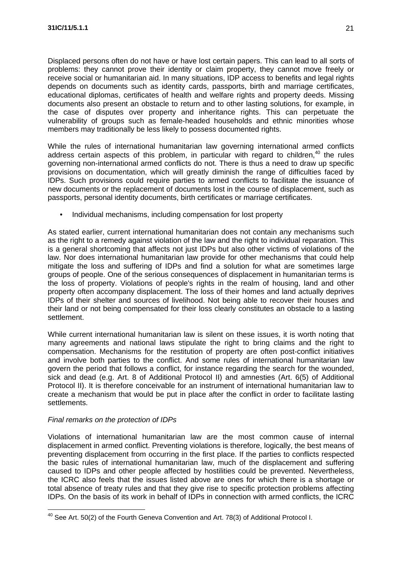Displaced persons often do not have or have lost certain papers. This can lead to all sorts of problems: they cannot prove their identity or claim property, they cannot move freely or receive social or humanitarian aid. In many situations, IDP access to benefits and legal rights depends on documents such as identity cards, passports, birth and marriage certificates, educational diplomas, certificates of health and welfare rights and property deeds. Missing documents also present an obstacle to return and to other lasting solutions, for example, in the case of disputes over property and inheritance rights. This can perpetuate the vulnerability of groups such as female-headed households and ethnic minorities whose members may traditionally be less likely to possess documented rights.

While the rules of international humanitarian law governing international armed conflicts address certain aspects of this problem, in particular with regard to children, $40$  the rules governing non-international armed conflicts do not. There is thus a need to draw up specific provisions on documentation, which will greatly diminish the range of difficulties faced by IDPs. Such provisions could require parties to armed conflicts to facilitate the issuance of new documents or the replacement of documents lost in the course of displacement, such as passports, personal identity documents, birth certificates or marriage certificates.

• Individual mechanisms, including compensation for lost property

As stated earlier, current international humanitarian does not contain any mechanisms such as the right to a remedy against violation of the law and the right to individual reparation. This is a general shortcoming that affects not just IDPs but also other victims of violations of the law. Nor does international humanitarian law provide for other mechanisms that could help mitigate the loss and suffering of IDPs and find a solution for what are sometimes large groups of people. One of the serious consequences of displacement in humanitarian terms is the loss of property. Violations of people's rights in the realm of housing, land and other property often accompany displacement. The loss of their homes and land actually deprives IDPs of their shelter and sources of livelihood. Not being able to recover their houses and their land or not being compensated for their loss clearly constitutes an obstacle to a lasting settlement.

While current international humanitarian law is silent on these issues, it is worth noting that many agreements and national laws stipulate the right to bring claims and the right to compensation. Mechanisms for the restitution of property are often post-conflict initiatives and involve both parties to the conflict. And some rules of international humanitarian law govern the period that follows a conflict, for instance regarding the search for the wounded, sick and dead (e.g. Art. 8 of Additional Protocol II) and amnesties (Art. 6(5) of Additional Protocol II). It is therefore conceivable for an instrument of international humanitarian law to create a mechanism that would be put in place after the conflict in order to facilitate lasting settlements.

#### *Final remarks on the protection of IDPs*

Violations of international humanitarian law are the most common cause of internal displacement in armed conflict. Preventing violations is therefore, logically, the best means of preventing displacement from occurring in the first place. If the parties to conflicts respected the basic rules of international humanitarian law, much of the displacement and suffering caused to IDPs and other people affected by hostilities could be prevented. Nevertheless, the ICRC also feels that the issues listed above are ones for which there is a shortage or total absence of treaty rules and that they give rise to specific protection problems affecting IDPs. On the basis of its work in behalf of IDPs in connection with armed conflicts, the ICRC

<sup>&</sup>lt;sup>40</sup> See Art. 50(2) of the Fourth Geneva Convention and Art. 78(3) of Additional Protocol I.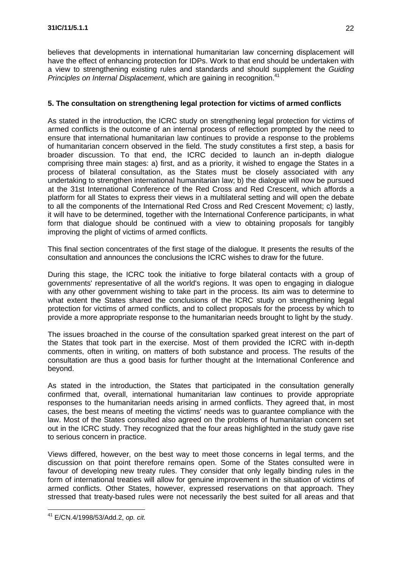believes that developments in international humanitarian law concerning displacement will have the effect of enhancing protection for IDPs. Work to that end should be undertaken with a view to strengthening existing rules and standards and should supplement the *Guiding Principles on Internal Displacement*, which are gaining in recognition. 41

## **5. The consultation on strengthening legal protection for victims of armed conflicts**

As stated in the introduction, the ICRC study on strengthening legal protection for victims of armed conflicts is the outcome of an internal process of reflection prompted by the need to ensure that international humanitarian law continues to provide a response to the problems of humanitarian concern observed in the field. The study constitutes a first step, a basis for broader discussion. To that end, the ICRC decided to launch an in-depth dialogue comprising three main stages: a) first, and as a priority, it wished to engage the States in a process of bilateral consultation, as the States must be closely associated with any undertaking to strengthen international humanitarian law; b) the dialogue will now be pursued at the 31st International Conference of the Red Cross and Red Crescent, which affords a platform for all States to express their views in a multilateral setting and will open the debate to all the components of the International Red Cross and Red Crescent Movement; c) lastly, it will have to be determined, together with the International Conference participants, in what form that dialogue should be continued with a view to obtaining proposals for tangibly improving the plight of victims of armed conflicts.

This final section concentrates of the first stage of the dialogue. It presents the results of the consultation and announces the conclusions the ICRC wishes to draw for the future.

During this stage, the ICRC took the initiative to forge bilateral contacts with a group of governments' representative of all the world's regions. It was open to engaging in dialogue with any other government wishing to take part in the process. Its aim was to determine to what extent the States shared the conclusions of the ICRC study on strengthening legal protection for victims of armed conflicts, and to collect proposals for the process by which to provide a more appropriate response to the humanitarian needs brought to light by the study.

The issues broached in the course of the consultation sparked great interest on the part of the States that took part in the exercise. Most of them provided the ICRC with in-depth comments, often in writing, on matters of both substance and process. The results of the consultation are thus a good basis for further thought at the International Conference and beyond.

As stated in the introduction, the States that participated in the consultation generally confirmed that, overall, international humanitarian law continues to provide appropriate responses to the humanitarian needs arising in armed conflicts. They agreed that, in most cases, the best means of meeting the victims' needs was to guarantee compliance with the law. Most of the States consulted also agreed on the problems of humanitarian concern set out in the ICRC study. They recognized that the four areas highlighted in the study gave rise to serious concern in practice.

Views differed, however, on the best way to meet those concerns in legal terms, and the discussion on that point therefore remains open. Some of the States consulted were in favour of developing new treaty rules. They consider that only legally binding rules in the form of international treaties will allow for genuine improvement in the situation of victims of armed conflicts. Other States, however, expressed reservations on that approach. They stressed that treaty-based rules were not necessarily the best suited for all areas and that

<sup>41</sup> E/CN.4/1998/53/Add.2, *op. cit.*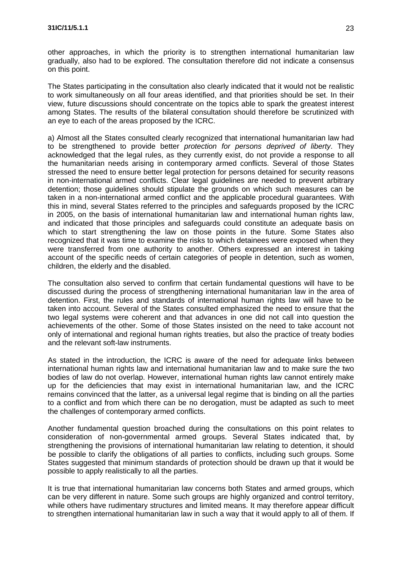other approaches, in which the priority is to strengthen international humanitarian law gradually, also had to be explored. The consultation therefore did not indicate a consensus on this point.

The States participating in the consultation also clearly indicated that it would not be realistic to work simultaneously on all four areas identified, and that priorities should be set. In their view, future discussions should concentrate on the topics able to spark the greatest interest among States. The results of the bilateral consultation should therefore be scrutinized with an eye to each of the areas proposed by the ICRC.

a) Almost all the States consulted clearly recognized that international humanitarian law had to be strengthened to provide better *protection for persons deprived of liberty*. They acknowledged that the legal rules, as they currently exist, do not provide a response to all the humanitarian needs arising in contemporary armed conflicts. Several of those States stressed the need to ensure better legal protection for persons detained for security reasons in non-international armed conflicts. Clear legal guidelines are needed to prevent arbitrary detention; those guidelines should stipulate the grounds on which such measures can be taken in a non-international armed conflict and the applicable procedural guarantees. With this in mind, several States referred to the principles and safeguards proposed by the ICRC in 2005, on the basis of international humanitarian law and international human rights law, and indicated that those principles and safeguards could constitute an adequate basis on which to start strengthening the law on those points in the future. Some States also recognized that it was time to examine the risks to which detainees were exposed when they were transferred from one authority to another. Others expressed an interest in taking account of the specific needs of certain categories of people in detention, such as women, children, the elderly and the disabled.

The consultation also served to confirm that certain fundamental questions will have to be discussed during the process of strengthening international humanitarian law in the area of detention. First, the rules and standards of international human rights law will have to be taken into account. Several of the States consulted emphasized the need to ensure that the two legal systems were coherent and that advances in one did not call into question the achievements of the other. Some of those States insisted on the need to take account not only of international and regional human rights treaties, but also the practice of treaty bodies and the relevant soft-law instruments.

As stated in the introduction, the ICRC is aware of the need for adequate links between international human rights law and international humanitarian law and to make sure the two bodies of law do not overlap. However, international human rights law cannot entirely make up for the deficiencies that may exist in international humanitarian law, and the ICRC remains convinced that the latter, as a universal legal regime that is binding on all the parties to a conflict and from which there can be no derogation, must be adapted as such to meet the challenges of contemporary armed conflicts.

Another fundamental question broached during the consultations on this point relates to consideration of non-governmental armed groups. Several States indicated that, by strengthening the provisions of international humanitarian law relating to detention, it should be possible to clarify the obligations of all parties to conflicts, including such groups. Some States suggested that minimum standards of protection should be drawn up that it would be possible to apply realistically to all the parties.

It is true that international humanitarian law concerns both States and armed groups, which can be very different in nature. Some such groups are highly organized and control territory, while others have rudimentary structures and limited means. It may therefore appear difficult to strengthen international humanitarian law in such a way that it would apply to all of them. If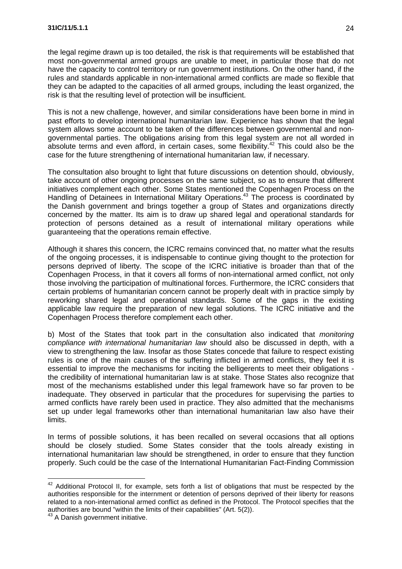the legal regime drawn up is too detailed, the risk is that requirements will be established that most non-governmental armed groups are unable to meet, in particular those that do not have the capacity to control territory or run government institutions. On the other hand, if the rules and standards applicable in non-international armed conflicts are made so flexible that they can be adapted to the capacities of all armed groups, including the least organized, the risk is that the resulting level of protection will be insufficient.

This is not a new challenge, however, and similar considerations have been borne in mind in past efforts to develop international humanitarian law. Experience has shown that the legal system allows some account to be taken of the differences between governmental and nongovernmental parties. The obligations arising from this legal system are not all worded in absolute terms and even afford, in certain cases, some flexibility.<sup>42</sup> This could also be the case for the future strengthening of international humanitarian law, if necessary.

The consultation also brought to light that future discussions on detention should, obviously, take account of other ongoing processes on the same subject, so as to ensure that different initiatives complement each other. Some States mentioned the Copenhagen Process on the Handling of Detainees in International Military Operations.<sup>43</sup> The process is coordinated by the Danish government and brings together a group of States and organizations directly concerned by the matter. Its aim is to draw up shared legal and operational standards for protection of persons detained as a result of international military operations while guaranteeing that the operations remain effective.

Although it shares this concern, the ICRC remains convinced that, no matter what the results of the ongoing processes, it is indispensable to continue giving thought to the protection for persons deprived of liberty. The scope of the ICRC initiative is broader than that of the Copenhagen Process, in that it covers all forms of non-international armed conflict, not only those involving the participation of multinational forces. Furthermore, the ICRC considers that certain problems of humanitarian concern cannot be properly dealt with in practice simply by reworking shared legal and operational standards. Some of the gaps in the existing applicable law require the preparation of new legal solutions. The ICRC initiative and the Copenhagen Process therefore complement each other.

b) Most of the States that took part in the consultation also indicated that *monitoring compliance with international humanitarian law* should also be discussed in depth, with a view to strengthening the law. Insofar as those States concede that failure to respect existing rules is one of the main causes of the suffering inflicted in armed conflicts, they feel it is essential to improve the mechanisms for inciting the belligerents to meet their obligations the credibility of international humanitarian law is at stake. Those States also recognize that most of the mechanisms established under this legal framework have so far proven to be inadequate. They observed in particular that the procedures for supervising the parties to armed conflicts have rarely been used in practice. They also admitted that the mechanisms set up under legal frameworks other than international humanitarian law also have their limits.

In terms of possible solutions, it has been recalled on several occasions that all options should be closely studied. Some States consider that the tools already existing in international humanitarian law should be strengthened, in order to ensure that they function properly. Such could be the case of the International Humanitarian Fact-Finding Commission

<sup>&</sup>lt;sup>42</sup> Additional Protocol II, for example, sets forth a list of obligations that must be respected by the authorities responsible for the internment or detention of persons deprived of their liberty for reasons related to a non-international armed conflict as defined in the Protocol. The Protocol specifies that the authorities are bound "within the limits of their capabilities" (Art. 5(2)).

<sup>43</sup> A Danish government initiative.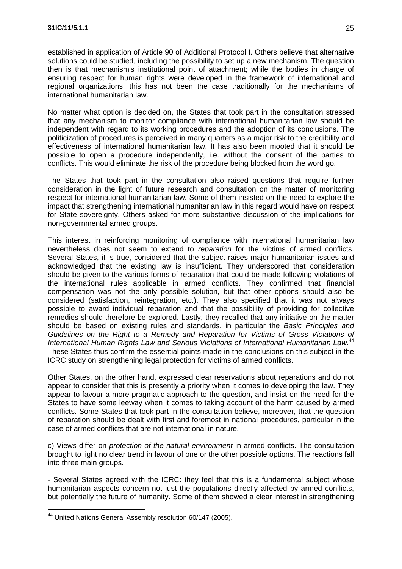established in application of Article 90 of Additional Protocol I. Others believe that alternative solutions could be studied, including the possibility to set up a new mechanism. The question then is that mechanism's institutional point of attachment; while the bodies in charge of ensuring respect for human rights were developed in the framework of international and regional organizations, this has not been the case traditionally for the mechanisms of international humanitarian law.

No matter what option is decided on, the States that took part in the consultation stressed that any mechanism to monitor compliance with international humanitarian law should be independent with regard to its working procedures and the adoption of its conclusions. The politicization of procedures is perceived in many quarters as a major risk to the credibility and effectiveness of international humanitarian law. It has also been mooted that it should be possible to open a procedure independently, i.e. without the consent of the parties to conflicts. This would eliminate the risk of the procedure being blocked from the word go.

The States that took part in the consultation also raised questions that require further consideration in the light of future research and consultation on the matter of monitoring respect for international humanitarian law. Some of them insisted on the need to explore the impact that strengthening international humanitarian law in this regard would have on respect for State sovereignty. Others asked for more substantive discussion of the implications for non-governmental armed groups.

This interest in reinforcing monitoring of compliance with international humanitarian law nevertheless does not seem to extend to *reparation* for the victims of armed conflicts. Several States, it is true, considered that the subject raises major humanitarian issues and acknowledged that the existing law is insufficient. They underscored that consideration should be given to the various forms of reparation that could be made following violations of the international rules applicable in armed conflicts. They confirmed that financial compensation was not the only possible solution, but that other options should also be considered (satisfaction, reintegration, etc.). They also specified that it was not always possible to award individual reparation and that the possibility of providing for collective remedies should therefore be explored. Lastly, they recalled that any initiative on the matter should be based on existing rules and standards, in particular the *Basic Principles and Guidelines on the Right to a Remedy and Reparation for Victims of Gross Violations of International Human Rights Law and Serious Violations of International Humanitarian Law.*<sup>44</sup> These States thus confirm the essential points made in the conclusions on this subject in the ICRC study on strengthening legal protection for victims of armed conflicts.

Other States, on the other hand, expressed clear reservations about reparations and do not appear to consider that this is presently a priority when it comes to developing the law. They appear to favour a more pragmatic approach to the question, and insist on the need for the States to have some leeway when it comes to taking account of the harm caused by armed conflicts. Some States that took part in the consultation believe, moreover, that the question of reparation should be dealt with first and foremost in national procedures, particular in the case of armed conflicts that are not international in nature.

c) Views differ on *protection of the natural environment* in armed conflicts. The consultation brought to light no clear trend in favour of one or the other possible options. The reactions fall into three main groups.

- Several States agreed with the ICRC: they feel that this is a fundamental subject whose humanitarian aspects concern not just the populations directly affected by armed conflicts, but potentially the future of humanity. Some of them showed a clear interest in strengthening

<sup>&</sup>lt;sup>44</sup> United Nations General Assembly resolution 60/147 (2005).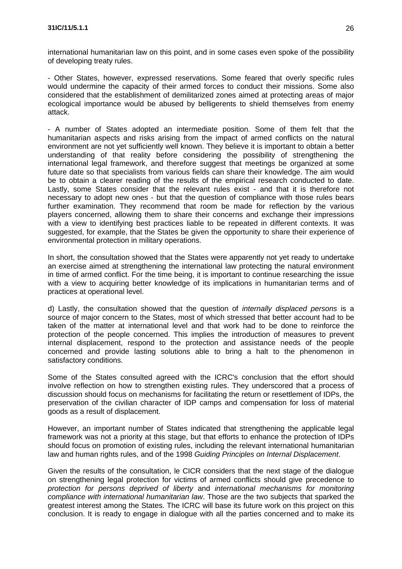international humanitarian law on this point, and in some cases even spoke of the possibility of developing treaty rules.

- Other States, however, expressed reservations. Some feared that overly specific rules would undermine the capacity of their armed forces to conduct their missions. Some also considered that the establishment of demilitarized zones aimed at protecting areas of major ecological importance would be abused by belligerents to shield themselves from enemy attack.

- A number of States adopted an intermediate position. Some of them felt that the humanitarian aspects and risks arising from the impact of armed conflicts on the natural environment are not yet sufficiently well known. They believe it is important to obtain a better understanding of that reality before considering the possibility of strengthening the international legal framework, and therefore suggest that meetings be organized at some future date so that specialists from various fields can share their knowledge. The aim would be to obtain a clearer reading of the results of the empirical research conducted to date. Lastly, some States consider that the relevant rules exist - and that it is therefore not necessary to adopt new ones - but that the question of compliance with those rules bears further examination. They recommend that room be made for reflection by the various players concerned, allowing them to share their concerns and exchange their impressions with a view to identifying best practices liable to be repeated in different contexts. It was suggested, for example, that the States be given the opportunity to share their experience of environmental protection in military operations.

In short, the consultation showed that the States were apparently not yet ready to undertake an exercise aimed at strengthening the international law protecting the natural environment in time of armed conflict. For the time being, it is important to continue researching the issue with a view to acquiring better knowledge of its implications in humanitarian terms and of practices at operational level.

d) Lastly, the consultation showed that the question of *internally displaced persons* is a source of major concern to the States, most of which stressed that better account had to be taken of the matter at international level and that work had to be done to reinforce the protection of the people concerned. This implies the introduction of measures to prevent internal displacement, respond to the protection and assistance needs of the people concerned and provide lasting solutions able to bring a halt to the phenomenon in satisfactory conditions.

Some of the States consulted agreed with the ICRC's conclusion that the effort should involve reflection on how to strengthen existing rules. They underscored that a process of discussion should focus on mechanisms for facilitating the return or resettlement of IDPs, the preservation of the civilian character of IDP camps and compensation for loss of material goods as a result of displacement.

However, an important number of States indicated that strengthening the applicable legal framework was not a priority at this stage, but that efforts to enhance the protection of IDPs should focus on promotion of existing rules, including the relevant international humanitarian law and human rights rules, and of the 1998 *Guiding Principles on Internal Displacement*.

Given the results of the consultation, le CICR considers that the next stage of the dialogue on strengthening legal protection for victims of armed conflicts should give precedence to *protection for persons deprived of liberty* and *international mechanisms for monitoring compliance with international humanitarian law*. Those are the two subjects that sparked the greatest interest among the States. The ICRC will base its future work on this project on this conclusion. It is ready to engage in dialogue with all the parties concerned and to make its